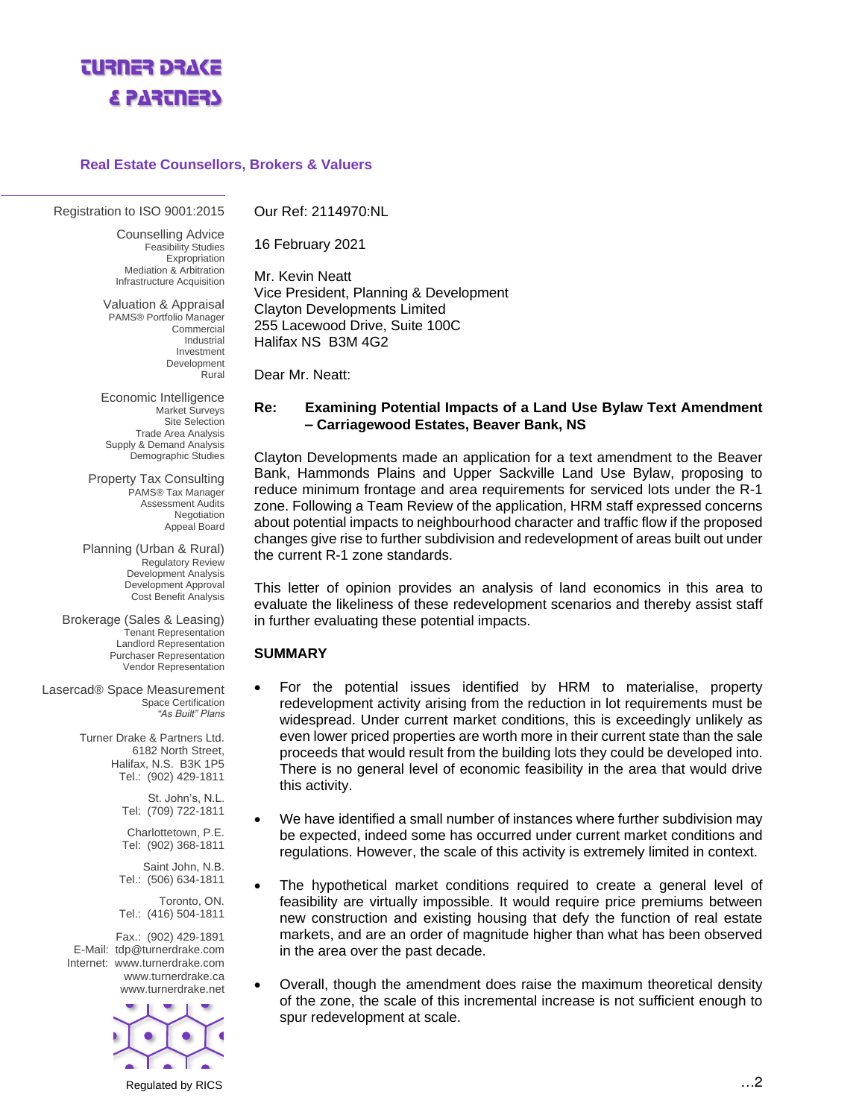

#### **Real Estate Counsellors, Brokers & Valuers**

#### *Registration to ISO 9001:2015*

*Counselling Advice Feasibility Studies Expropriation Mediation & Arbitration Infrastructure Acquisition*

*Valuation & Appraisal PAMS® Portfolio Manager Commercial Industrial Investment Development Rural*

*Economic Intelligence Market Surveys Site Selection Trade Area Analysis Supply & Demand Analysis Demographic Studies*

*Property Tax Consulting PAMS® Tax Manager Assessment Audits Negotiation Appeal Board*

*Planning (Urban & Rural) Regulatory Review Development Analysis Development Approval Cost Benefit Analysis*

*Brokerage (Sales & Leasing) Tenant Representation Landlord Representation Purchaser Representation Vendor Representation*

*Lasercad® Space Measurement Space Certification "As Built" Plans*

> Turner Drake & Partners Ltd. 6182 North Street, Halifax, N.S. B3K 1P5 Tel.: (902) 429-1811

> > St. John's, N.L. Tel: (709) 722-1811

> > Charlottetown, P.E. Tel: (902) 368-1811

Saint John, N.B. Tel.: (506) 634-1811

Toronto, ON. Tel.: (416) 504-1811

Fax.: (902) 429-1891 E-Mail: [tdp@turnerdrake.com](mailto:tdp@turnerdrake.com) Internet: [www.turnerdrake.com](http://www.turnerdrake.com/) [www.turnerdrake.ca](http://www.turnerdrake.ca/) [www.turnerdrake.net](http://www.turnerdrake.net/)



Our Ref: 2114970:NL

16 February 2021

Mr. Kevin Neatt Vice President, Planning & Development Clayton Developments Limited 255 Lacewood Drive, Suite 100C Halifax NS B3M 4G2

Dear Mr. Neatt:

#### **Re: Examining Potential Impacts of a Land Use Bylaw Text Amendment – Carriagewood Estates, Beaver Bank, NS**

Clayton Developments made an application for a text amendment to the Beaver Bank, Hammonds Plains and Upper Sackville Land Use Bylaw, proposing to reduce minimum frontage and area requirements for serviced lots under the R-1 zone. Following a Team Review of the application, HRM staff expressed concerns about potential impacts to neighbourhood character and traffic flow if the proposed changes give rise to further subdivision and redevelopment of areas built out under the current R-1 zone standards.

This letter of opinion provides an analysis of land economics in this area to evaluate the likeliness of these redevelopment scenarios and thereby assist staff in further evaluating these potential impacts.

#### **SUMMARY**

- For the potential issues identified by HRM to materialise, property redevelopment activity arising from the reduction in lot requirements must be widespread. Under current market conditions, this is exceedingly unlikely as even lower priced properties are worth more in their current state than the sale proceeds that would result from the building lots they could be developed into. There is no general level of economic feasibility in the area that would drive this activity.
- We have identified a small number of instances where further subdivision may be expected, indeed some has occurred under current market conditions and regulations. However, the scale of this activity is extremely limited in context.
- The hypothetical market conditions required to create a general level of feasibility are virtually impossible. It would require price premiums between new construction and existing housing that defy the function of real estate markets, and are an order of magnitude higher than what has been observed in the area over the past decade.
- Overall, though the amendment does raise the maximum theoretical density of the zone, the scale of this incremental increase is not sufficient enough to spur redevelopment at scale.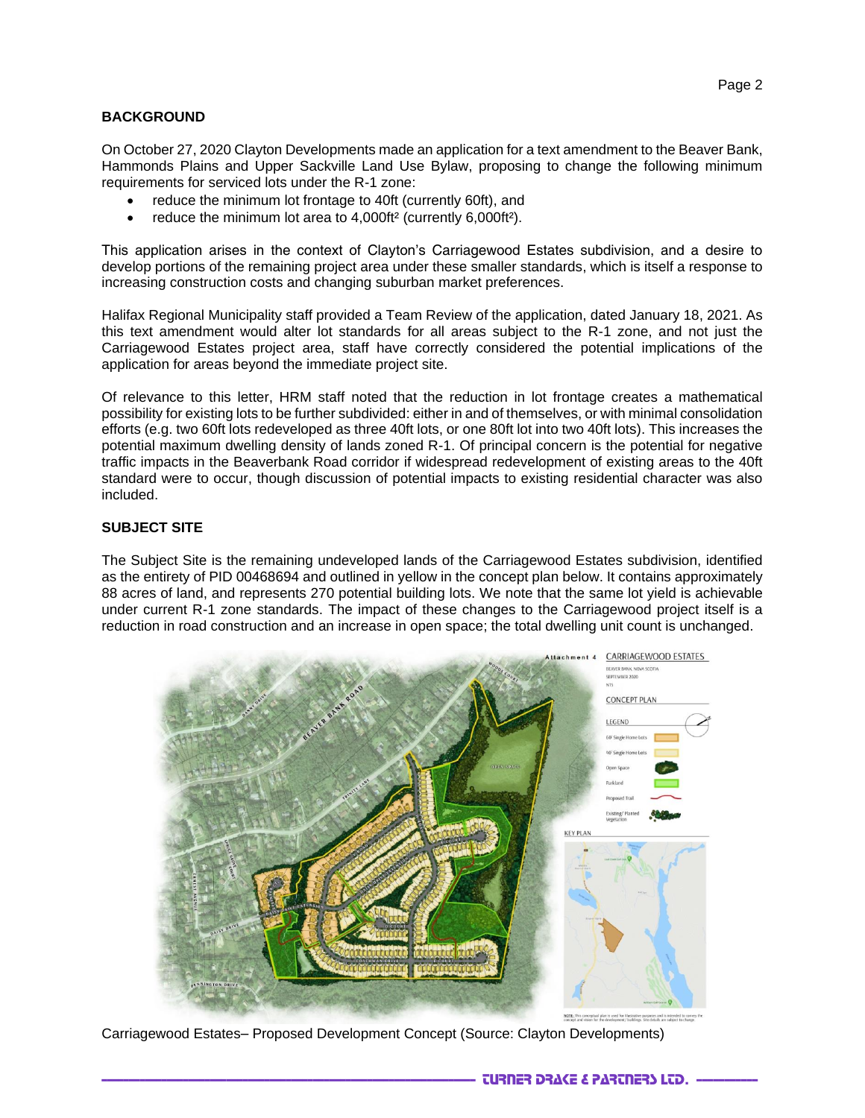# **BACKGROUND**

On October 27, 2020 Clayton Developments made an application for a text amendment to the Beaver Bank, Hammonds Plains and Upper Sackville Land Use Bylaw, proposing to change the following minimum requirements for serviced lots under the R-1 zone:

- reduce the minimum lot frontage to 40ft (currently 60ft), and
- reduce the minimum lot area to 4,000ft<sup>2</sup> (currently 6,000ft<sup>2</sup>).

This application arises in the context of Clayton's Carriagewood Estates subdivision, and a desire to develop portions of the remaining project area under these smaller standards, which is itself a response to increasing construction costs and changing suburban market preferences.

Halifax Regional Municipality staff provided a Team Review of the application, dated January 18, 2021. As this text amendment would alter lot standards for all areas subject to the R-1 zone, and not just the Carriagewood Estates project area, staff have correctly considered the potential implications of the application for areas beyond the immediate project site.

Of relevance to this letter, HRM staff noted that the reduction in lot frontage creates a mathematical possibility for existing lots to be further subdivided: either in and of themselves, or with minimal consolidation efforts (e.g. two 60ft lots redeveloped as three 40ft lots, or one 80ft lot into two 40ft lots). This increases the potential maximum dwelling density of lands zoned R-1. Of principal concern is the potential for negative traffic impacts in the Beaverbank Road corridor if widespread redevelopment of existing areas to the 40ft standard were to occur, though discussion of potential impacts to existing residential character was also included.

# **SUBJECT SITE**

The Subject Site is the remaining undeveloped lands of the Carriagewood Estates subdivision, identified as the entirety of PID 00468694 and outlined in yellow in the concept plan below. It contains approximately 88 acres of land, and represents 270 potential building lots. We note that the same lot yield is achievable under current R-1 zone standards. The impact of these changes to the Carriagewood project itself is a reduction in road construction and an increase in open space; the total dwelling unit count is unchanged.



Carriagewood Estates– Proposed Development Concept (Source: Clayton Developments)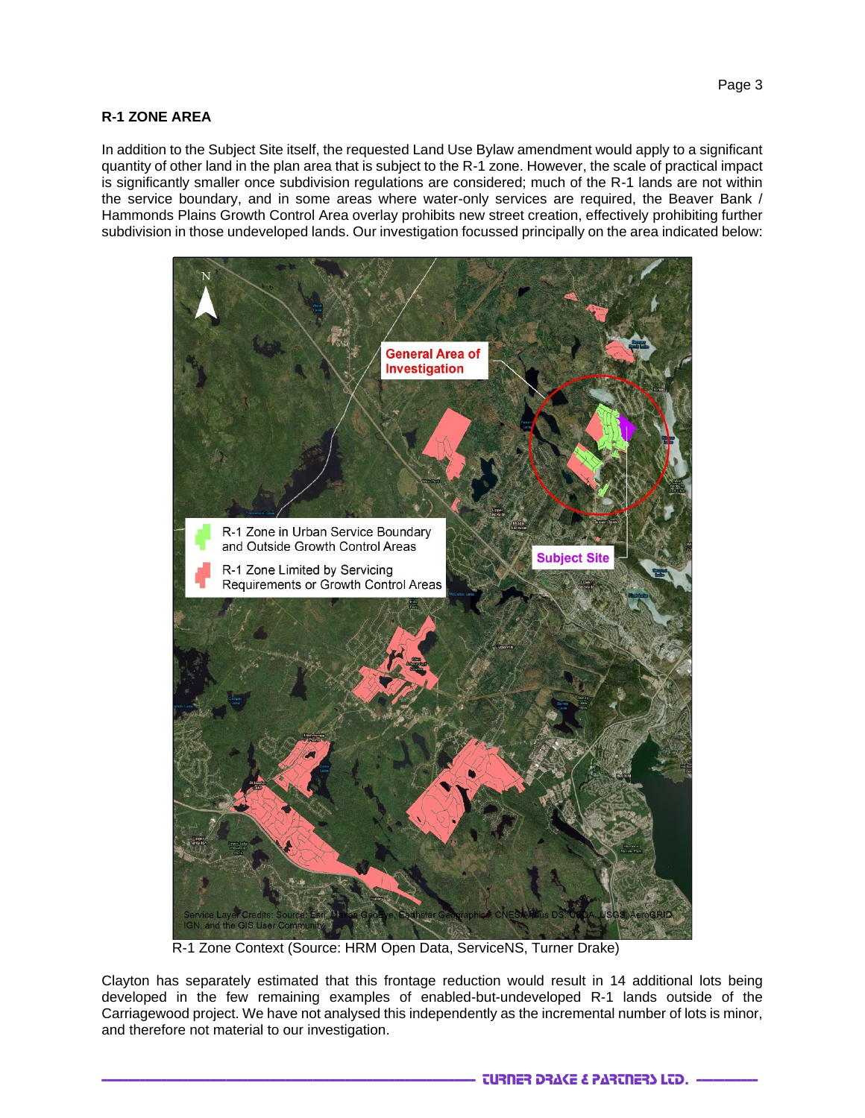# **R-1 ZONE AREA**

In addition to the Subject Site itself, the requested Land Use Bylaw amendment would apply to a significant quantity of other land in the plan area that is subject to the R-1 zone. However, the scale of practical impact is significantly smaller once subdivision regulations are considered; much of the R-1 lands are not within the service boundary, and in some areas where water-only services are required, the Beaver Bank / Hammonds Plains Growth Control Area overlay prohibits new street creation, effectively prohibiting further subdivision in those undeveloped lands. Our investigation focussed principally on the area indicated below:



R-1 Zone Context (Source: HRM Open Data, ServiceNS, Turner Drake)

Clayton has separately estimated that this frontage reduction would result in 14 additional lots being developed in the few remaining examples of enabled-but-undeveloped R-1 lands outside of the Carriagewood project. We have not analysed this independently as the incremental number of lots is minor, and therefore not material to our investigation.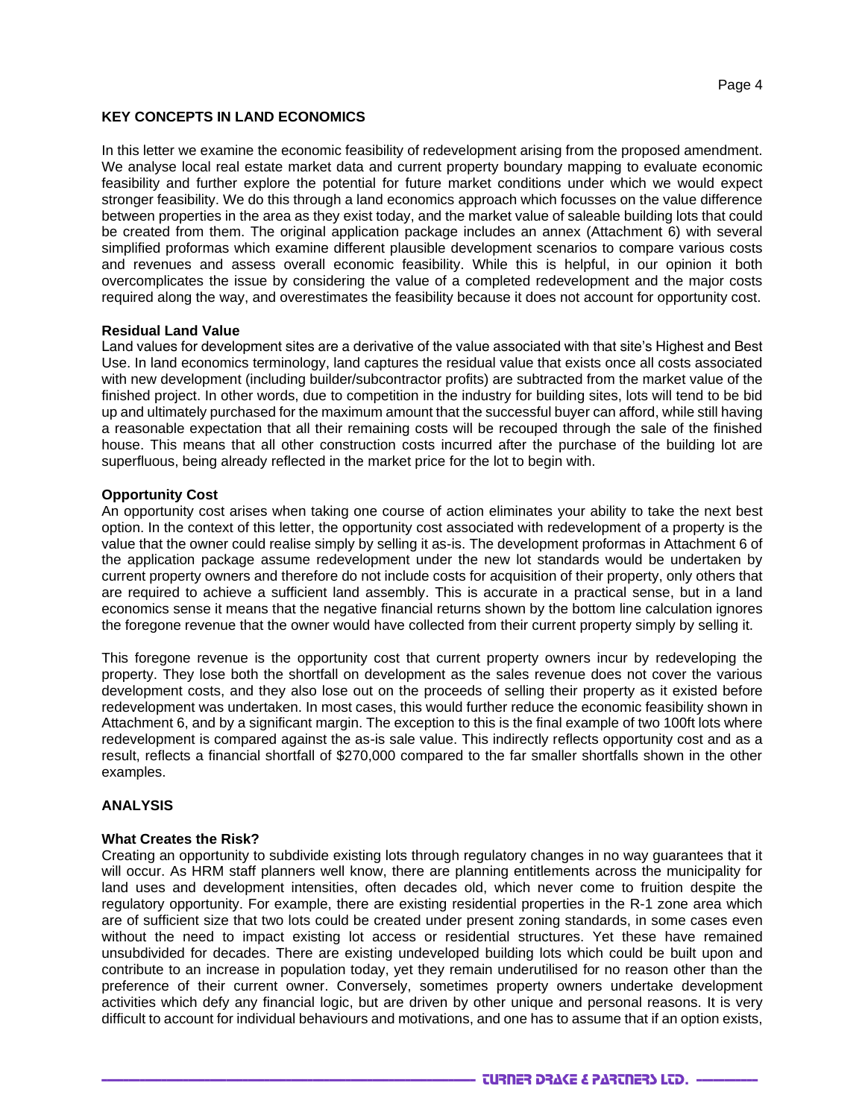# **KEY CONCEPTS IN LAND ECONOMICS**

In this letter we examine the economic feasibility of redevelopment arising from the proposed amendment. We analyse local real estate market data and current property boundary mapping to evaluate economic feasibility and further explore the potential for future market conditions under which we would expect stronger feasibility. We do this through a land economics approach which focusses on the value difference between properties in the area as they exist today, and the market value of saleable building lots that could be created from them. The original application package includes an annex (Attachment 6) with several simplified proformas which examine different plausible development scenarios to compare various costs and revenues and assess overall economic feasibility. While this is helpful, in our opinion it both overcomplicates the issue by considering the value of a completed redevelopment and the major costs required along the way, and overestimates the feasibility because it does not account for opportunity cost.

#### **Residual Land Value**

Land values for development sites are a derivative of the value associated with that site's Highest and Best Use. In land economics terminology, land captures the *residual value* that exists once all costs associated with new development (including builder/subcontractor profits) are subtracted from the market value of the finished project. In other words, due to competition in the industry for building sites, lots will tend to be bid up and ultimately purchased for the maximum amount that the successful buyer can afford, while still having a reasonable expectation that all their remaining costs will be recouped through the sale of the finished house. This means that all other construction costs incurred after the purchase of the building lot are superfluous, being already reflected in the market price for the lot to begin with.

#### **Opportunity Cost**

An opportunity cost arises when taking one course of action eliminates your ability to take the next best option. In the context of this letter, the opportunity cost associated with redevelopment of a property is the value that the owner could realise simply by selling it as-is. The development proformas in Attachment 6 of the application package assume redevelopment under the new lot standards would be undertaken by current property owners and therefore do not include costs for acquisition of their property, only others that are required to achieve a sufficient land assembly. This is accurate in a practical sense, but in a land economics sense it means that the negative financial returns shown by the bottom line calculation ignores the foregone revenue that the owner would have collected from their current property simply by selling it.

This foregone revenue is the *opportunity cost* that current property owners incur by redeveloping the property. They lose both the shortfall on development as the sales revenue does not cover the various development costs, and they also lose out on the proceeds of selling their property as it existed before redevelopment was undertaken. In most cases, this would further reduce the economic feasibility shown in Attachment 6, and by a significant margin. The exception to this is the final example of two 100ft lots where redevelopment is compared against the as-is sale value. This indirectly reflects opportunity cost and as a result, reflects a financial shortfall of \$270,000 compared to the far smaller shortfalls shown in the other examples.

#### **ANALYSIS**

#### **What Creates the Risk?**

Creating an opportunity to subdivide existing lots through regulatory changes in no way guarantees that it will occur. As HRM staff planners well know, there are planning entitlements across the municipality for land uses and development intensities, often decades old, which never come to fruition despite the regulatory opportunity. For example, there are existing residential properties in the R-1 zone area which are of sufficient size that two lots could be created under present zoning standards, in some cases even without the need to impact existing lot access or residential structures. Yet these have remained unsubdivided for decades. There are existing undeveloped building lots which could be built upon and contribute to an increase in population today, yet they remain underutilised for no reason other than the preference of their current owner. Conversely, sometimes property owners undertake development activities which defy any financial logic, but are driven by other unique and personal reasons. It is very difficult to account for individual behaviours and motivations, and one has to assume that if an option exists,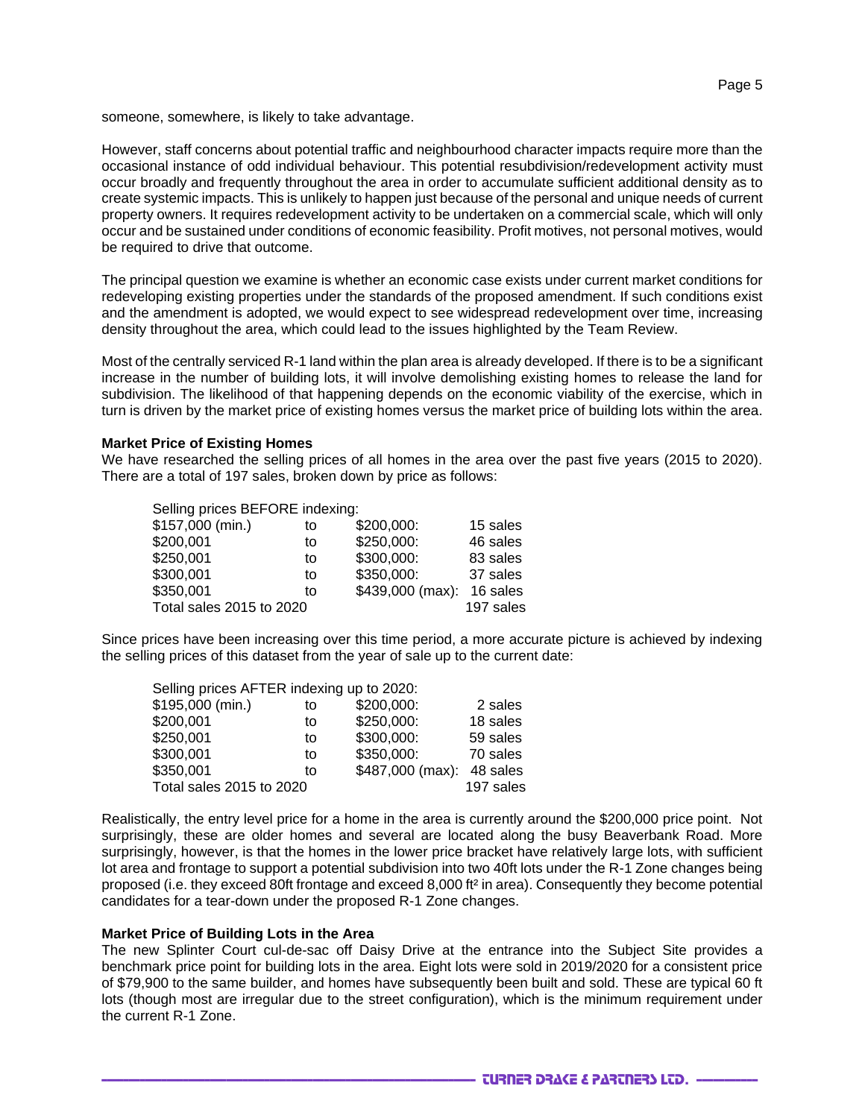someone, somewhere, is likely to take advantage.

However, staff concerns about potential traffic and neighbourhood character impacts require more than the occasional instance of odd individual behaviour. This potential resubdivision/redevelopment activity must occur broadly and frequently throughout the area in order to accumulate sufficient additional density as to create systemic impacts. This is unlikely to happen just because of the personal and unique needs of current property owners. It requires redevelopment activity to be undertaken on a *commercial* scale, which will only occur and be sustained under conditions of economic feasibility. Profit motives, not personal motives, would be required to drive that outcome.

The principal question we examine is whether an economic case exists under current market conditions for redeveloping existing properties under the standards of the proposed amendment. If such conditions exist and the amendment is adopted, we would expect to see widespread redevelopment over time, increasing density throughout the area, which could lead to the issues highlighted by the Team Review.

Most of the centrally serviced R-1 land within the plan area is already developed. If there is to be a significant increase in the number of building lots, it will involve demolishing existing homes to release the land for subdivision. The likelihood of that happening depends on the economic viability of the exercise, which in turn is driven by the market price of existing homes versus the market price of building lots within the area.

#### **Market Price of Existing Homes**

 $S = \text{S} = \text{S} = \text{S} = \text{S}$ 

We have researched the selling prices of all homes in the area over the past five years (2015 to 2020). There are a total of 197 sales, broken down by price as follows:

| Selling prices BEFORE Indexing: |           |                  |          |
|---------------------------------|-----------|------------------|----------|
| \$157,000 (min.)                | to        | \$200,000:       | 15 sales |
| \$200,001                       | to        | \$250,000:       | 46 sales |
| \$250,001                       | to        | \$300,000:       | 83 sales |
| \$300,001                       | to        | \$350,000:       | 37 sales |
| \$350,001                       | to        | \$439,000 (max): | 16 sales |
| Total sales 2015 to 2020        | 197 sales |                  |          |

Since prices have been increasing over this time period, a more accurate picture is achieved by indexing the selling prices of this dataset from the year of sale up to the current date:

| Selling prices AFTER indexing up to 2020: |    |                  |           |
|-------------------------------------------|----|------------------|-----------|
| \$195,000 (min.)                          | to | \$200,000:       | 2 sales   |
| \$200,001                                 | to | \$250,000:       | 18 sales  |
| \$250,001                                 | to | \$300,000:       | 59 sales  |
| \$300,001                                 | to | \$350,000:       | 70 sales  |
| \$350,001                                 | t٥ | \$487,000 (max): | 48 sales  |
| Total sales 2015 to 2020                  |    |                  | 197 sales |

Realistically, the entry level price for a home in the area is currently around the \$200,000 price point. Not surprisingly, these are older homes and several are located along the busy Beaverbank Road. More surprisingly, however, is that the homes in the lower price bracket have relatively large lots, with sufficient lot area and frontage to support a potential subdivision into two 40ft lots under the R-1 Zone changes being proposed (i.e. they exceed 80ft frontage and exceed 8,000 ft² in area). Consequently they become potential candidates for a tear-down under the proposed R-1 Zone changes.

#### **Market Price of Building Lots in the Area**

The new Splinter Court cul-de-sac off Daisy Drive at the entrance into the Subject Site provides a benchmark price point for building lots in the area. Eight lots were sold in 2019/2020 for a consistent price of \$79,900 to the same builder, and homes have subsequently been built and sold. These are typical 60 ft lots (though most are irregular due to the street configuration), which is the minimum requirement under the current R-1 Zone.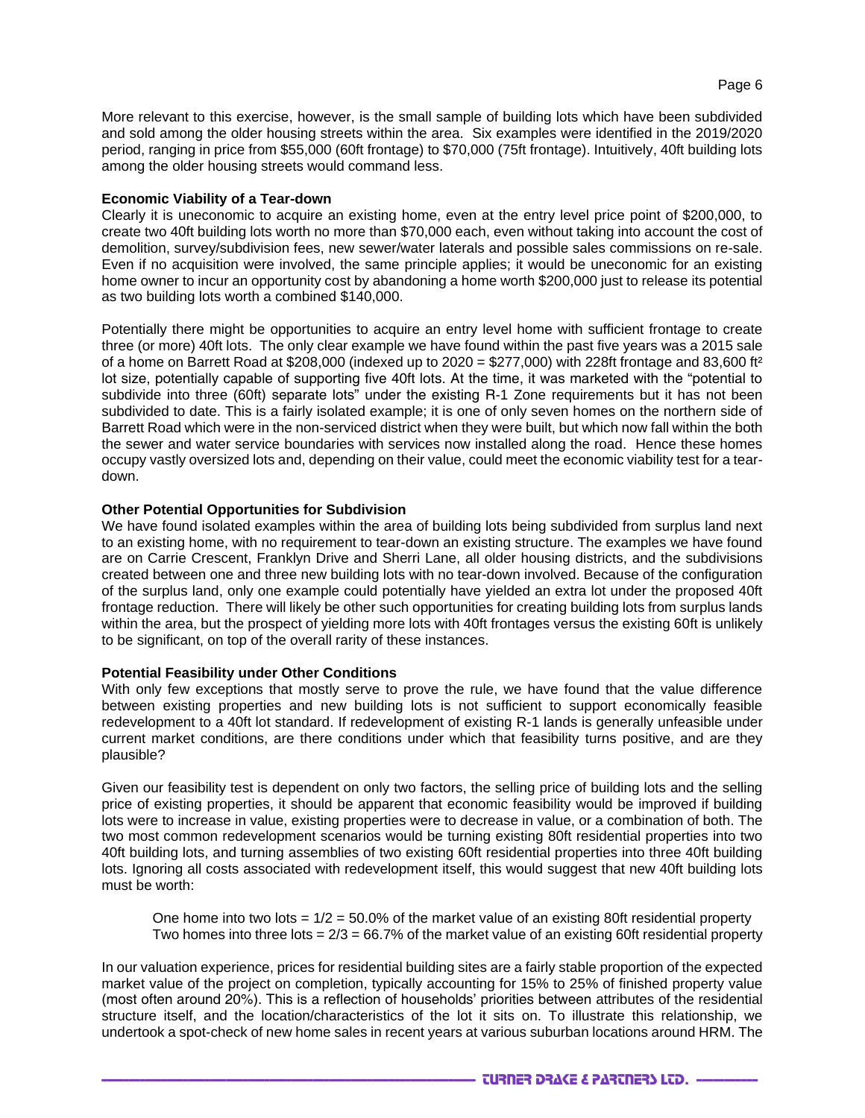More relevant to this exercise, however, is the small sample of building lots which have been subdivided and sold among the older housing streets within the area. Six examples were identified in the 2019/2020 period, ranging in price from \$55,000 (60ft frontage) to \$70,000 (75ft frontage). Intuitively, 40ft building lots among the older housing streets would command less.

### **Economic Viability of a Tear-down**

Clearly it is uneconomic to acquire an existing home, even at the entry level price point of \$200,000, to create two 40ft building lots worth no more than \$70,000 each, even without taking into account the cost of demolition, survey/subdivision fees, new sewer/water laterals and possible sales commissions on re-sale. Even if no acquisition were involved, the same principle applies; it would be uneconomic for an existing home owner to incur an opportunity cost by abandoning a home worth \$200,000 just to release its potential as two building lots worth a combined \$140,000.

Potentially there might be opportunities to acquire an entry level home with sufficient frontage to create three (or more) 40ft lots. The only clear example we have found within the past five years was a 2015 sale of a home on Barrett Road at \$208,000 (indexed up to  $2020 = $277,000$ ) with 228ft frontage and 83,600 ft<sup>2</sup> lot size, potentially capable of supporting five 40ft lots. At the time, it was marketed with the "potential to subdivide into three (60ft) separate lots" under the existing R-1 Zone requirements but it has not been subdivided to date. This is a fairly isolated example; it is one of only seven homes on the northern side of Barrett Road which were in the non-serviced district when they were built, but which now fall within the both the sewer and water service boundaries with services now installed along the road. Hence these homes occupy vastly oversized lots and, depending on their value, could meet the economic viability test for a teardown.

## **Other Potential Opportunities for Subdivision**

We have found isolated examples within the area of building lots being subdivided from surplus land next to an existing home, with no requirement to tear-down an existing structure. The examples we have found are on Carrie Crescent, Franklyn Drive and Sherri Lane, all older housing districts, and the subdivisions created between one and three new building lots with no tear-down involved. Because of the configuration of the surplus land, only one example could potentially have yielded an extra lot under the proposed 40ft frontage reduction. There will likely be other such opportunities for creating building lots from surplus lands within the area, but the prospect of yielding more lots with 40ft frontages versus the existing 60ft is unlikely to be significant, on top of the overall rarity of these instances.

#### **Potential Feasibility under Other Conditions**

With only few exceptions that mostly serve to prove the rule, we have found that the value difference between existing properties and new building lots is not sufficient to support economically feasible redevelopment to a 40ft lot standard. If redevelopment of existing R-1 lands is generally unfeasible under current market conditions, are there conditions under which that feasibility turns positive, and are they plausible?

Given our feasibility test is dependent on only two factors, the selling price of building lots and the selling price of existing properties, it should be apparent that economic feasibility would be improved if building lots were to increase in value, existing properties were to decrease in value, or a combination of both. The two most common redevelopment scenarios would be turning existing 80ft residential properties into two 40ft building lots, and turning assemblies of two existing 60ft residential properties into three 40ft building lots. Ignoring all costs associated with redevelopment itself, this would suggest that new 40ft building lots must be worth:

One home into two lots  $= 1/2 = 50.0\%$  of the market value of an existing 80ft residential property Two homes into three lots  $= 2/3 = 66.7\%$  of the market value of an existing 60ft residential property

In our valuation experience, prices for residential building sites are a fairly stable proportion of the expected market value of the project on completion, typically accounting for 15% to 25% of finished property value (most often around 20%). This is a reflection of households' priorities between attributes of the residential structure itself, and the location/characteristics of the lot it sits on. To illustrate this relationship, we undertook a spot-check of new home sales in recent years at various suburban locations around HRM. The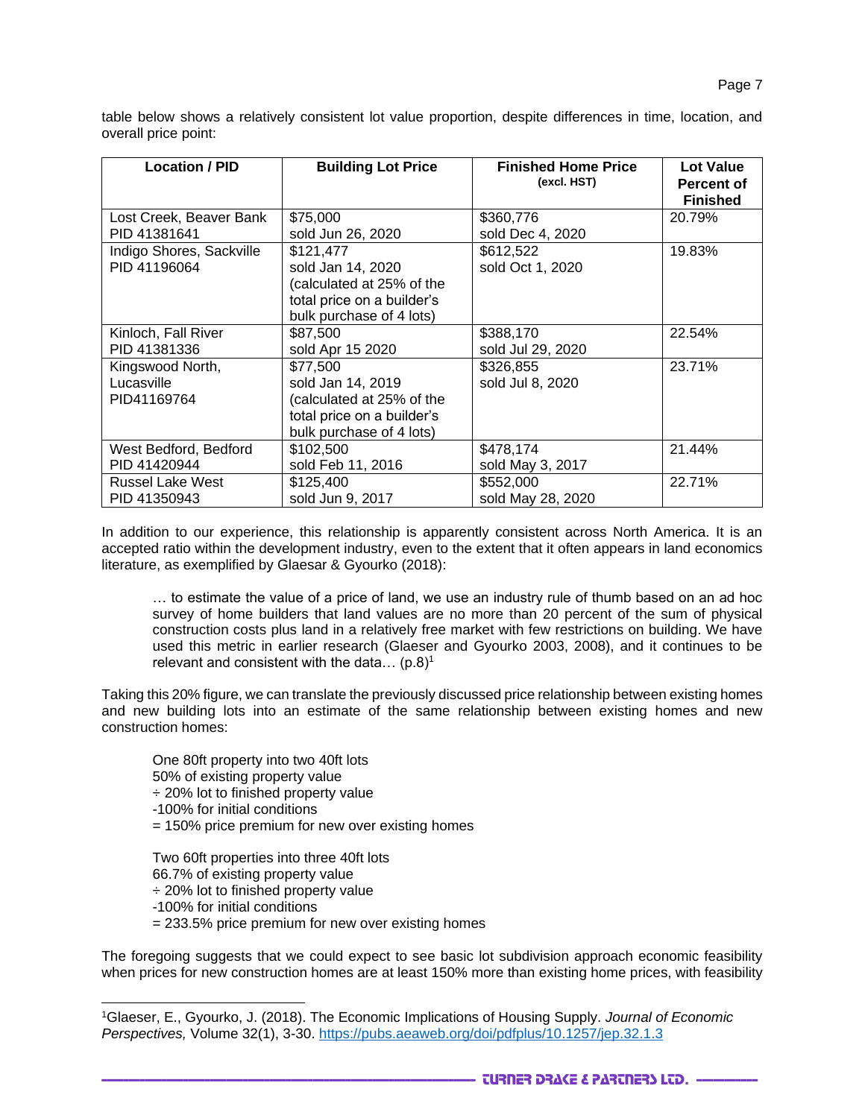table below shows a relatively consistent lot value proportion, despite differences in time, location, and overall price point:

| <b>Location / PID</b>                         | <b>Building Lot Price</b>                                                                                             | <b>Finished Home Price</b><br>(excl. HST) | Lot Value<br>Percent of<br><b>Finished</b> |
|-----------------------------------------------|-----------------------------------------------------------------------------------------------------------------------|-------------------------------------------|--------------------------------------------|
| Lost Creek, Beaver Bank                       | \$75,000                                                                                                              | \$360,776                                 | 20.79%                                     |
| PID 41381641                                  | sold Jun 26, 2020                                                                                                     | sold Dec 4, 2020                          |                                            |
| Indigo Shores, Sackville<br>PID 41196064      | \$121,477<br>sold Jan 14, 2020<br>(calculated at 25% of the<br>total price on a builder's<br>bulk purchase of 4 lots) | \$612,522<br>sold Oct 1, 2020             | 19.83%                                     |
| Kinloch, Fall River                           | \$87,500                                                                                                              | \$388,170                                 | 22.54%                                     |
| PID 41381336                                  | sold Apr 15 2020                                                                                                      | sold Jul 29, 2020                         |                                            |
| Kingswood North,<br>Lucasville<br>PID41169764 | \$77,500<br>sold Jan 14, 2019<br>(calculated at 25% of the<br>total price on a builder's<br>bulk purchase of 4 lots)  | \$326,855<br>sold Jul 8, 2020             | 23.71%                                     |
| West Bedford, Bedford                         | \$102,500                                                                                                             | \$478,174                                 | 21.44%                                     |
| PID 41420944                                  | sold Feb 11, 2016                                                                                                     | sold May 3, 2017                          |                                            |
| <b>Russel Lake West</b>                       | \$125,400                                                                                                             | \$552,000                                 | 22.71%                                     |
| PID 41350943                                  | sold Jun 9, 2017                                                                                                      | sold May 28, 2020                         |                                            |

In addition to our experience, this relationship is apparently consistent across North America. It is an accepted ratio within the development industry, even to the extent that it often appears in land economics literature, as exemplified by Glaesar & Gyourko (2018):

… to estimate the value of a price of land, we use an industry rule of thumb based on an ad hoc survey of home builders that land values are no more than 20 percent of the sum of physical construction costs plus land in a relatively free market with few restrictions on building. We have used this metric in earlier research (Glaeser and Gyourko 2003, 2008), and it continues to be relevant and consistent with the data...  $(p.8)^1$ 

Taking this 20% figure, we can translate the previously discussed price relationship between existing homes and new building lots into an estimate of the same relationship between existing homes and new construction homes:

*One 80ft property into two 40ft lots* 50% of existing property value ÷ 20% lot to finished property value -100% for initial conditions = 150% price premium for new over existing homes

*Two 60ft properties into three 40ft lots* 66.7% of existing property value ÷ 20% lot to finished property value -100% for initial conditions = 233.5% price premium for new over existing homes

The foregoing suggests that we could expect to see basic lot subdivision approach economic feasibility when prices for new construction homes are at least 150% more than existing home prices, with feasibility

<sup>1</sup>Glaeser, E., Gyourko, J. (2018). The Economic Implications of Housing Supply. *Journal of Economic Perspectives,* Volume 32(1), 3-30. <https://pubs.aeaweb.org/doi/pdfplus/10.1257/jep.32.1.3>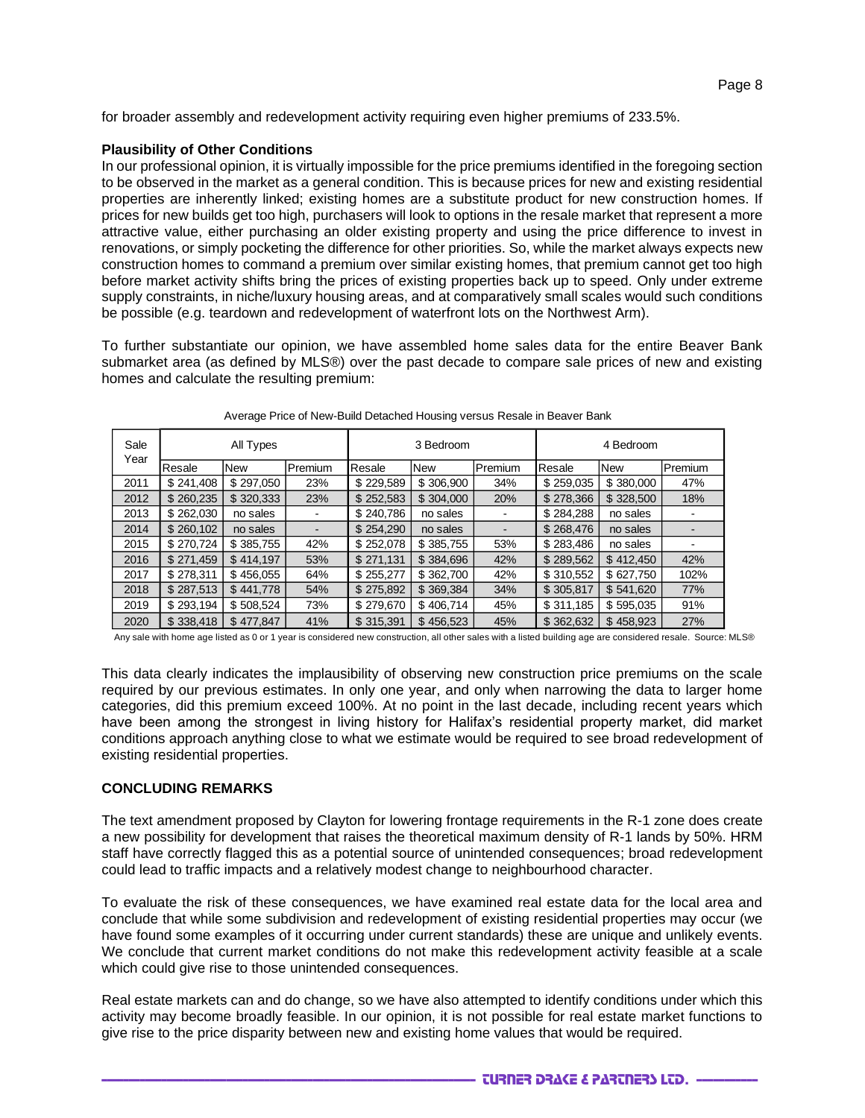for broader assembly and redevelopment activity requiring even higher premiums of 233.5%.

#### **Plausibility of Other Conditions**

In our professional opinion, it is virtually impossible for the price premiums identified in the foregoing section to be observed in the market as a general condition. This is because prices for new and existing residential properties are inherently linked; existing homes are a substitute product for new construction homes. If prices for new builds get too high, purchasers will look to options in the resale market that represent a more attractive value, either purchasing an older existing property and using the price difference to invest in renovations, or simply pocketing the difference for other priorities. So, while the market always expects new construction homes to command a premium over similar existing homes, that premium cannot get too high before market activity shifts bring the prices of existing properties back up to speed. Only under extreme supply constraints, in niche/luxury housing areas, and at comparatively small scales would such conditions be possible (e.g. teardown and redevelopment of waterfront lots on the Northwest Arm).

To further substantiate our opinion, we have assembled home sales data for the entire Beaver Bank submarket area (as defined by MLS®) over the past decade to compare sale prices of new and existing homes and calculate the resulting premium:

| Sale<br>Year | All Types |            | 3 Bedroom |           | 4 Bedroom  |         |           |            |         |
|--------------|-----------|------------|-----------|-----------|------------|---------|-----------|------------|---------|
|              | Resale    | <b>New</b> | Premium   | Resale    | <b>New</b> | Premium | Resale    | <b>New</b> | Premium |
| 2011         | \$241,408 | \$297,050  | 23%       | \$229,589 | \$306,900  | 34%     | \$259,035 | \$380,000  | 47%     |
| 2012         | \$260,235 | \$320,333  | 23%       | \$252,583 | \$304,000  | 20%     | \$278,366 | \$328,500  | 18%     |
| 2013         | \$262,030 | no sales   |           | \$240,786 | no sales   |         | \$284,288 | no sales   |         |
| 2014         | \$260,102 | no sales   |           | \$254.290 | no sales   |         | \$268,476 | no sales   |         |
| 2015         | \$270,724 | \$385,755  | 42%       | \$252,078 | \$385,755  | 53%     | \$283,486 | no sales   |         |
| 2016         | \$271,459 | \$414.197  | 53%       | \$271,131 | \$384,696  | 42%     | \$289,562 | \$412,450  | 42%     |
| 2017         | \$278,311 | \$456.055  | 64%       | \$255,277 | \$362,700  | 42%     | \$310,552 | \$627,750  | 102%    |
| 2018         | \$287,513 | \$441,778  | 54%       | \$275,892 | \$369,384  | 34%     | \$305,817 | \$541,620  | 77%     |
| 2019         | \$293,194 | \$508,524  | 73%       | \$279,670 | \$406.714  | 45%     | \$311,185 | \$595,035  | 91%     |
| 2020         | \$338,418 | \$477,847  | 41%       | \$315,391 | \$456,523  | 45%     | \$362,632 | \$458,923  | 27%     |

|  | Average Price of New-Build Detached Housing versus Resale in Beaver Bank |  |
|--|--------------------------------------------------------------------------|--|
|--|--------------------------------------------------------------------------|--|

Any sale with home age listed as 0 or 1 year is considered new construction, all other sales with a listed building age are considered resale. Source: MLS®

This data clearly indicates the implausibility of observing new construction price premiums on the scale required by our previous estimates. In only one year, and only when narrowing the data to larger home categories, did this premium exceed 100%. At no point in the last decade, including recent years which have been among the strongest in living history for Halifax's residential property market, did market conditions approach anything close to what we estimate would be required to see broad redevelopment of existing residential properties.

#### **CONCLUDING REMARKS**

The text amendment proposed by Clayton for lowering frontage requirements in the R-1 zone does create a new possibility for development that raises the theoretical maximum density of R-1 lands by 50%. HRM staff have correctly flagged this as a potential source of unintended consequences; broad redevelopment could lead to traffic impacts and a relatively modest change to neighbourhood character.

To evaluate the risk of these consequences, we have examined real estate data for the local area and conclude that while some subdivision and redevelopment of existing residential properties may occur (we have found some examples of it occurring under current standards) these are unique and unlikely events. We conclude that current market conditions do not make this redevelopment activity feasible at a scale which could give rise to those unintended consequences.

Real estate markets can and do change, so we have also attempted to identify conditions under which this activity may become broadly feasible. In our opinion, it is not possible for real estate market functions to give rise to the price disparity between new and existing home values that would be required.